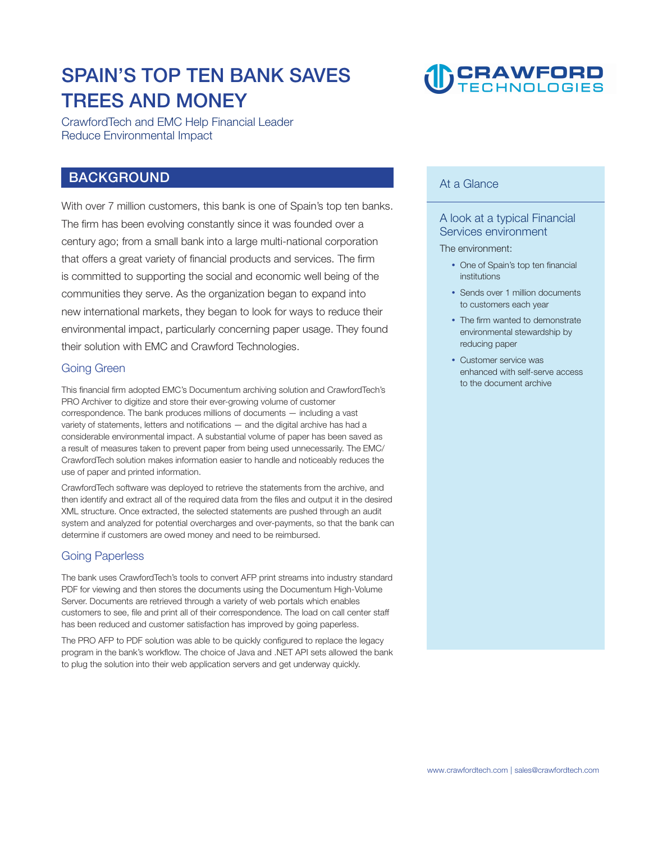# **SPAIN'S TOP TEN BANK SAVES TREES AND MONEY**

**CrawfordTech and EMC Help Financial Leader Reduce Environmental Impact** 

# **BACKGROUND**

**With over 7 million customers, this bank is one of Spain's top ten banks. The firm has been evolving constantly since it was founded over a century ago; from a small bank into a large multi-national corporation that offers a great variety of financial products and services. The firm is committed to supporting the social and economic well being of the communities they serve. As the organization began to expand into new international markets, they began to look for ways to reduce their environmental impact, particularly concerning paper usage. They found their solution with EMC and Crawford Technologies.** 

# **Going Green**

**This financial firm adopted EMC's Documentum archiving solution and CrawfordTech's PRO Archiver to digitize and store their ever-growing volume of customer correspondence. The bank produces millions of documents — including a vast variety of statements, letters and notifications — and the digital archive has had a considerable environmental impact. A substantial volume of paper has been saved as a result of measures taken to prevent paper from being used unnecessarily. The EMC/ CrawfordTech solution makes information easier to handle and noticeably reduces the use of paper and printed information.** 

**CrawfordTech software was deployed to retrieve the statements from the archive, and then identify and extract all of the required data from the files and output it in the desired XML structure. Once extracted, the selected statements are pushed through an audit system and analyzed for potential overcharges and over-payments, so that the bank can determine if customers are owed money and need to be reimbursed.** 

# **Going Paperless**

**The bank uses CrawfordTech's tools to convert AFP print streams into industry standard PDF for viewing and then stores the documents using the Documentum High-Volume Server. Documents are retrieved through a variety of web portals which enables customers to see, file and print all of their correspondence. The load on call center staff has been reduced and customer satisfaction has improved by going paperless.** 

**The PRO AFP to PDF solution was able to be quickly configured to replace the legacy program in the bank's workflow. The choice of Java and .NET API sets allowed the bank to plug the solution into their web application servers and get underway quickly.** 

### **At a Glance**

### **A look at a typical Financial Services environment**

**DERAWFORD** 

**The environment:** 

- **One of Spain's top ten financial institutions**
- **Sends over 1 million documents to customers each year**
- **The firm wanted to demonstrate environmental stewardship by reducing paper**
- **Customer service was enhanced with self-serve access to the document archive**